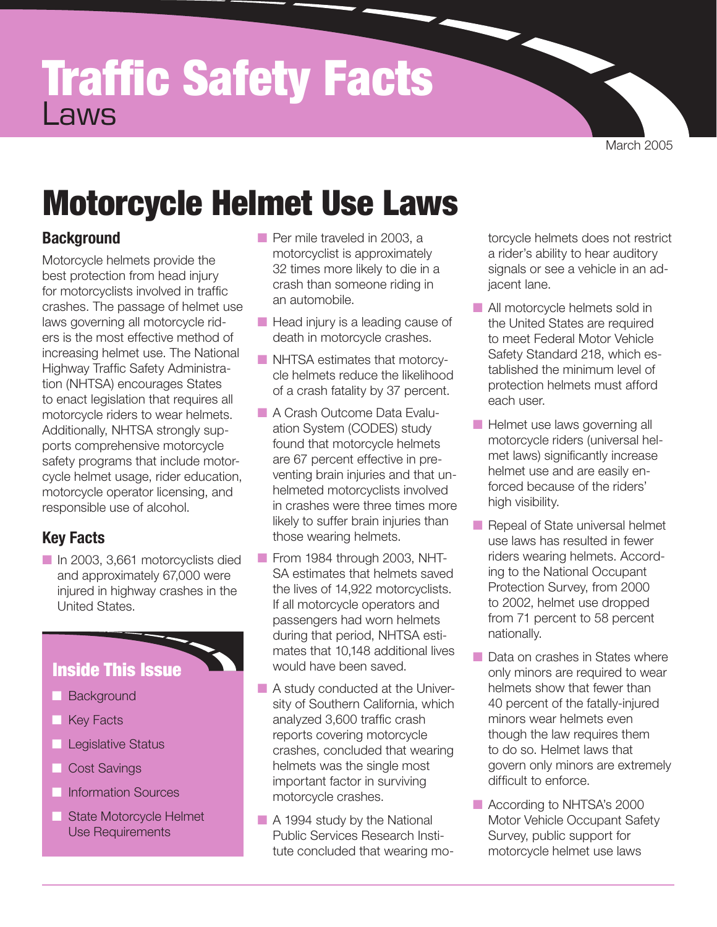# Traffic Safety Facts Laws

March 2005

# Motorcycle Helmet Use Laws

## **Background**

Motorcycle helmets provide the best protection from head injury for motorcyclists involved in traffic crashes. The passage of helmet use laws governing all motorcycle riders is the most effective method of increasing helmet use. The National Highway Traffic Safety Administration (NHTSA) encourages States to enact legislation that requires all motorcycle riders to wear helmets. Additionally, NHTSA strongly supports comprehensive motorcycle safety programs that include motorcycle helmet usage, rider education, motorcycle operator licensing, and responsible use of alcohol.

## **Key Facts**

■ In 2003, 3,661 motorcyclists died and approximately 67,000 were injured in highway crashes in the United States.

## Inside This Issue

- **Background**
- **Key Facts**
- Legislative Status
- Cost Savings
- Information Sources
- State Motorcycle Helmet Use Requirements
- Per mile traveled in 2003, a motorcyclist is approximately 32 times more likely to die in a crash than someone riding in an automobile.
- Head injury is a leading cause of death in motorcycle crashes.
- NHTSA estimates that motorcycle helmets reduce the likelihood of a crash fatality by 37 percent.
- A Crash Outcome Data Evaluation System (CODES) study found that motorcycle helmets are 67 percent effective in preventing brain injuries and that unhelmeted motorcyclists involved in crashes were three times more likely to suffer brain injuries than those wearing helmets.
- From 1984 through 2003, NHT-SA estimates that helmets saved the lives of 14,922 motorcyclists. If all motorcycle operators and passengers had worn helmets during that period, NHTSA estimates that 10,148 additional lives would have been saved.
- A study conducted at the University of Southern California, which analyzed 3,600 traffic crash reports covering motorcycle crashes, concluded that wearing helmets was the single most important factor in surviving motorcycle crashes.
- A 1994 study by the National Public Services Research Institute concluded that wearing mo-

torcycle helmets does not restrict a rider's ability to hear auditory signals or see a vehicle in an adjacent lane.

- All motorcycle helmets sold in the United States are required to meet Federal Motor Vehicle Safety Standard 218, which established the minimum level of protection helmets must afford each user.
- Helmet use laws governing all motorcycle riders (universal helmet laws) significantly increase helmet use and are easily enforced because of the riders' high visibility.
- Repeal of State universal helmet use laws has resulted in fewer riders wearing helmets. According to the National Occupant Protection Survey, from 2000 to 2002, helmet use dropped from 71 percent to 58 percent nationally.
- Data on crashes in States where only minors are required to wear helmets show that fewer than 40 percent of the fatally-injured minors wear helmets even though the law requires them to do so. Helmet laws that govern only minors are extremely difficult to enforce.
- According to NHTSA's 2000 Motor Vehicle Occupant Safety Survey, public support for motorcycle helmet use laws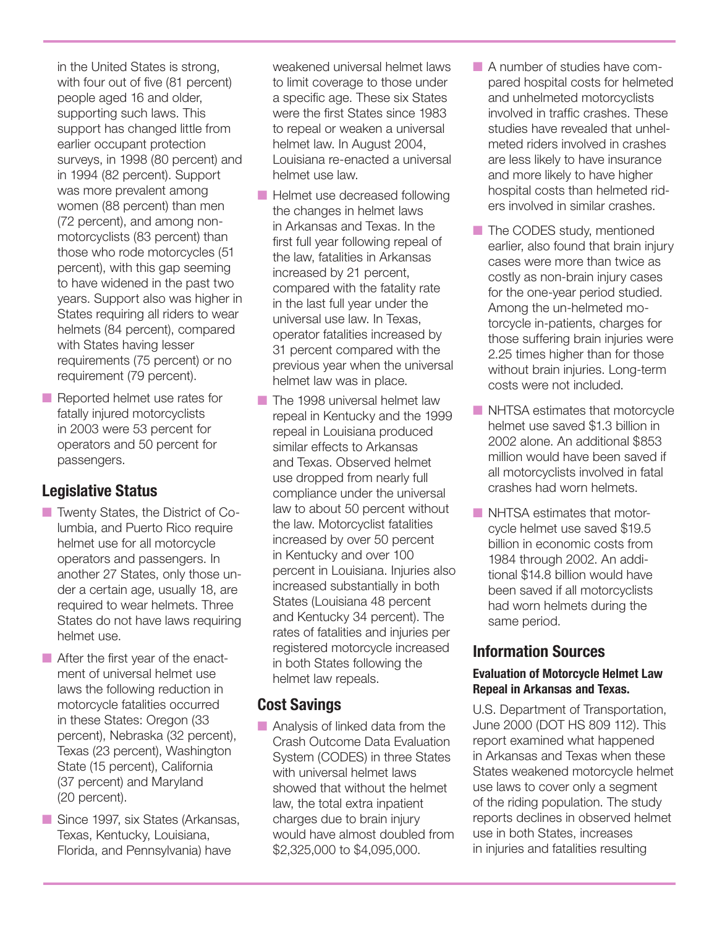in the United States is strong, with four out of five (81 percent) people aged 16 and older, supporting such laws. This support has changed little from earlier occupant protection surveys, in 1998 (80 percent) and in 1994 (82 percent). Support was more prevalent among women (88 percent) than men (72 percent), and among nonmotorcyclists (83 percent) than those who rode motorcycles (51 percent), with this gap seeming to have widened in the past two years. Support also was higher in States requiring all riders to wear helmets (84 percent), compared with States having lesser requirements (75 percent) or no requirement (79 percent).

■ Reported helmet use rates for fatally injured motorcyclists in 2003 were 53 percent for operators and 50 percent for passengers.

### **Legislative Status**

- Twenty States, the District of Columbia, and Puerto Rico require helmet use for all motorcycle operators and passengers. In another 27 States, only those under a certain age, usually 18, are required to wear helmets. Three States do not have laws requiring helmet use.
- After the first year of the enactment of universal helmet use laws the following reduction in motorcycle fatalities occurred in these States: Oregon (33 percent), Nebraska (32 percent), Texas (23 percent), Washington State (15 percent), California (37 percent) and Maryland (20 percent).
- Since 1997, six States (Arkansas, Texas, Kentucky, Louisiana, Florida, and Pennsylvania) have

weakened universal helmet laws to limit coverage to those under a specific age. These six States were the first States since 1983 to repeal or weaken a universal helmet law. In August 2004, Louisiana re-enacted a universal helmet use law.

- Helmet use decreased following the changes in helmet laws in Arkansas and Texas. In the first full year following repeal of the law, fatalities in Arkansas increased by 21 percent, compared with the fatality rate in the last full year under the universal use law. In Texas, operator fatalities increased by 31 percent compared with the previous year when the universal helmet law was in place.
- The 1998 universal helmet law repeal in Kentucky and the 1999 repeal in Louisiana produced similar effects to Arkansas and Texas. Observed helmet use dropped from nearly full compliance under the universal law to about 50 percent without the law. Motorcyclist fatalities increased by over 50 percent in Kentucky and over 100 percent in Louisiana. Injuries also increased substantially in both States (Louisiana 48 percent and Kentucky 34 percent). The rates of fatalities and injuries per registered motorcycle increased in both States following the helmet law repeals.

### **Cost Savings**

■ Analysis of linked data from the Crash Outcome Data Evaluation System (CODES) in three States with universal helmet laws showed that without the helmet law, the total extra inpatient charges due to brain injury would have almost doubled from \$2,325,000 to \$4,095,000.

- A number of studies have compared hospital costs for helmeted and unhelmeted motorcyclists involved in traffic crashes. These studies have revealed that unhelmeted riders involved in crashes are less likely to have insurance and more likely to have higher hospital costs than helmeted riders involved in similar crashes.
- The CODES study, mentioned earlier, also found that brain injury cases were more than twice as costly as non-brain injury cases for the one-year period studied. Among the un-helmeted motorcycle in-patients, charges for those suffering brain injuries were 2.25 times higher than for those without brain injuries. Long-term costs were not included.
- NHTSA estimates that motorcycle helmet use saved \$1.3 billion in 2002 alone. An additional \$853 million would have been saved if all motorcyclists involved in fatal crashes had worn helmets.
- NHTSA estimates that motorcycle helmet use saved \$19.5 billion in economic costs from 1984 through 2002. An additional \$14.8 billion would have been saved if all motorcyclists had worn helmets during the same period.

## **Information Sources**

#### **Evaluation of Motorcycle Helmet Law Repeal in Arkansas and Texas.**

U.S. Department of Transportation, June 2000 (DOT HS 809 112). This report examined what happened in Arkansas and Texas when these States weakened motorcycle helmet use laws to cover only a segment of the riding population. The study reports declines in observed helmet use in both States, increases in injuries and fatalities resulting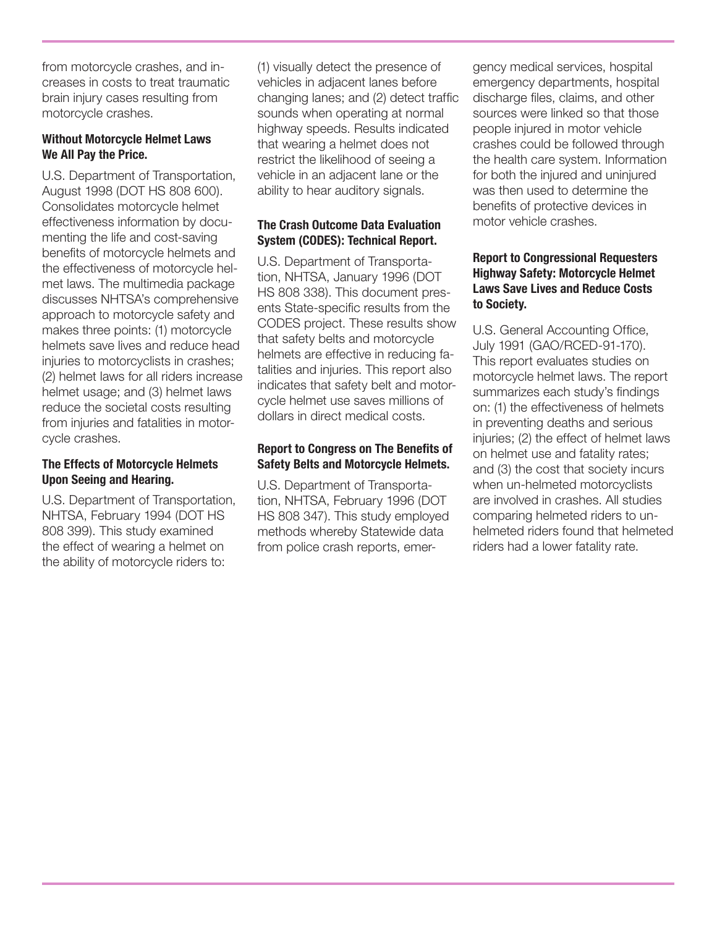from motorcycle crashes, and increases in costs to treat traumatic brain injury cases resulting from motorcycle crashes.

#### **Without Motorcycle Helmet Laws We All Pay the Price.**

U.S. Department of Transportation, August 1998 (DOT HS 808 600). Consolidates motorcycle helmet effectiveness information by documenting the life and cost-saving benefits of motorcycle helmets and the effectiveness of motorcycle helmet laws. The multimedia package discusses NHTSA's comprehensive approach to motorcycle safety and makes three points: (1) motorcycle helmets save lives and reduce head injuries to motorcyclists in crashes; (2) helmet laws for all riders increase helmet usage; and (3) helmet laws reduce the societal costs resulting from injuries and fatalities in motorcycle crashes.

#### **The Effects of Motorcycle Helmets Upon Seeing and Hearing.**

U.S. Department of Transportation, NHTSA, February 1994 (DOT HS 808 399). This study examined the effect of wearing a helmet on the ability of motorcycle riders to:

(1) visually detect the presence of vehicles in adjacent lanes before changing lanes; and (2) detect traffic sounds when operating at normal highway speeds. Results indicated that wearing a helmet does not restrict the likelihood of seeing a vehicle in an adjacent lane or the ability to hear auditory signals.

#### **The Crash Outcome Data Evaluation System (CODES): Technical Report.**

U.S. Department of Transportation, NHTSA, January 1996 (DOT HS 808 338). This document presents State-specific results from the CODES project. These results show that safety belts and motorcycle helmets are effective in reducing fatalities and injuries. This report also indicates that safety belt and motorcycle helmet use saves millions of dollars in direct medical costs.

#### **Report to Congress on The Benefits of Safety Belts and Motorcycle Helmets.**

U.S. Department of Transportation, NHTSA, February 1996 (DOT HS 808 347). This study employed methods whereby Statewide data from police crash reports, emergency medical services, hospital emergency departments, hospital discharge files, claims, and other sources were linked so that those people injured in motor vehicle crashes could be followed through the health care system. Information for both the injured and uninjured was then used to determine the benefits of protective devices in motor vehicle crashes.

#### **Report to Congressional Requesters Highway Safety: Motorcycle Helmet Laws Save Lives and Reduce Costs to Society.**

U.S. General Accounting Office, July 1991 (GAO/RCED-91-170). This report evaluates studies on motorcycle helmet laws. The report summarizes each study's findings on: (1) the effectiveness of helmets in preventing deaths and serious injuries; (2) the effect of helmet laws on helmet use and fatality rates; and (3) the cost that society incurs when un-helmeted motorcyclists are involved in crashes. All studies comparing helmeted riders to unhelmeted riders found that helmeted riders had a lower fatality rate.